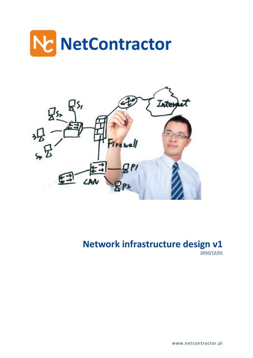



**Network infrastructure design v1** 2010/12/01

www.netcontractor.pl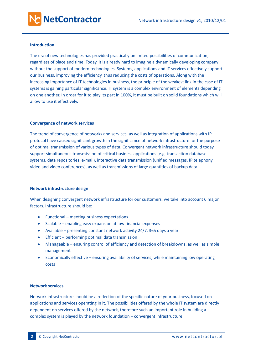# **Introduction**

The era of new technologies has provided practically unlimited possibilities of communication, regardless of place and time. Today, it is already hard to imagine a dynamically developing company without the support of modern technologies. Systems, applications and IT services effectively support our business, improving the efficiency, thus reducing the costs of operations. Along with the increasing importance of IT technologies in business, the principle of the weakest link in the case of IT systems is gaining particular significance. IT system is a complex environment of elements depending on one another. In order for it to play its part in 100%, it must be built on solid foundations which will allow to use it effectively.

# **Convergence of network services**

The trend of convergence of networks and services, as well as integration of applications with IP protocol have caused significant growth in the significance of network infrastructure for the purpose of optimal transmission of various types of data. Convergent network infrastructure should today support simultaneous transmission of critical business applications (e.g. transaction database systems, data repositories, e-mail), interactive data transmission (unified messages, IP telephony, video and video conferences), as well as transmissions of large quantities of backup data.

## **Network infrastructure design**

When designing convergent network infrastructure for our customers, we take into account 6 major factors. Infrastructure should be:

- Functional meeting business expectations
- Scalable enabling easy expansion at low financial expenses
- Available presenting constant network activity 24/7, 365 days a year
- Efficient performing optimal data transmission
- Manageable ensuring control of efficiency and detection of breakdowns, as well as simple management
- Economically effective ensuring availability of services, while maintaining low operating costs

## **Network services**

Network infrastructure should be a reflection of the specific nature of your business, focused on applications and services operating in it. The possibilities offered by the whole IT system are directly dependent on services offered by the network, therefore such an important role in building a complex system is played by the network foundation – convergent infrastructure.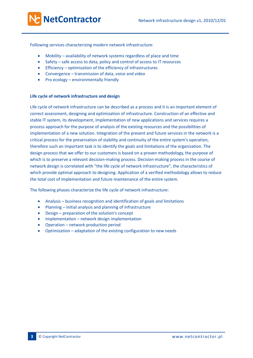Following services characterizing modern network infrastructure:

- Mobility availability of network systems regardless of place and time
- Safety safe access to data, policy and control of access to IT resources
- Efficiency optimization of the efficiency of infrastructures
- Convergence transmission of data, voice and video
- Pro ecology environmentally friendly

#### **Life cycle of network infrastructure and design**

Life cycle of network infrastructure can be described as a process and it is an important element of correct assessment, designing and optimization of infrastructure. Construction of an effective and stable IT system, its development, implementation of new applications and services requires a process approach for the purpose of analysis of the existing resources and the possibilities of implementation of a new solution. Integration of the present and future services in the network is a critical process for the preservation of stability and continuity of the entire system's operation, therefore such an important task is to identify the goals and limitations of the organization. The design process that we offer to our customers is based on a proven methodology, the purpose of which is to preserve a relevant decision-making process. Decision-making process in the course of network design is correlated with "the life cycle of network infrastructure", the characteristics of which provide optimal approach to designing. Application of a verified methodology allows to reduce the total cost of implementation and future maintenance of the entire system.

The following phases characterize the life cycle of network infrastructure:

- Analysis business recognition and identification of goals and limitations
- Planning initial analysis and planning of infrastructure
- Design preparation of the solution's concept
- Implementation network design implementation
- Operation network production period
- Optimization adaptation of the existing configuration to new needs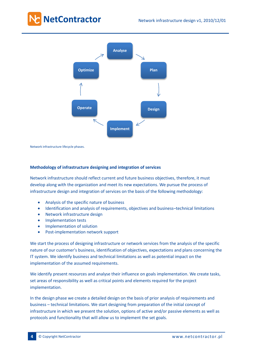

Network infrastructure lifecycle phases.

## **Methodology of infrastructure designing and integration of services**

Network infrastructure should reflect current and future business objectives, therefore, it must develop along with the organization and meet its new expectations. We pursue the process of infrastructure design and integration of services on the basis of the following methodology:

- Analysis of the specific nature of business
- Identification and analysis of requirements, objectives and business–technical limitations
- Network infrastructure design
- Implementation tests
- Implementation of solution
- Post-implementation network support

We start the process of designing infrastructure or network services from the analysis of the specific nature of our customer's business, identification of objectives, expectations and plans concerning the IT system. We identify business and technical limitations as well as potential impact on the implementation of the assumed requirements.

We identify present resources and analyse their influence on goals implementation. We create tasks, set areas of responsibility as well as critical points and elements required for the project implementation.

In the design phase we create a detailed design on the basis of prior analysis of requirements and business – technical limitations. We start designing from preparation of the initial concept of infrastructure in which we present the solution, options of active and/or passive elements as well as protocols and functionality that will allow us to implement the set goals.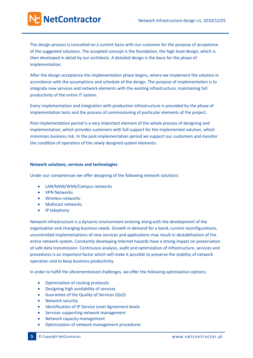The design process is consulted on a current basis with our customer for the purpose of acceptance of the suggested solutions. The accepted concept is the foundation, the high level design, which is then developed in detail by our architects. A detailed design is the basis for the phase of implementation.

After the design acceptance the implementation phase begins, where we implement the solution in accordance with the assumptions and schedule of the design. The purpose of implementation is to integrate new services and network elements with the existing infrastructure, maintaining full productivity of the entire IT system.

Every implementation and integration with production infrastructure is preceded by the phase of implementation tests and the process of commissioning of particular elements of the project.

Post-implementation period is a very important element of the whole process of designing and implementation, which provides customers with full support for the implemented solution, which minimizes business risk. In the post-implementation period we support our customers and monitor the condition of operation of the newly designed system elements.

## **Network solutions, services and technologies**

Under our competences we offer designing of the following network solutions:

- LAN/MAN/WAN/Campus networks
- VPN Networks
- Wireless networks
- Multicast networks
- IP telephony

Network infrastructure is a dynamic environment evolving along with the development of the organization and changing business needs. Growth in demand for a band, current reconfigurations, uncontrolled implementations of new services and applications may result in destabilization of the entire network system. Constantly developing Internet hazards have a strong impact on preservation of safe data transmission. Continuous analysis, audit and optimization of infrastructure, services and procedures is an important factor which will make it possible to preserve the stability of network operation and to keep business productivity.

In order to fulfill the aforementioned challenges, we offer the following optimization options:

- Optimization of routing protocols
- Designing high availability of services
- Guarantee of the Quality of Services (QoS)
- Network security
- **•** Identification of IP Service Level Agreement levels
- Services supporting network management
- Network capacity management
- Optimization of network management procedures